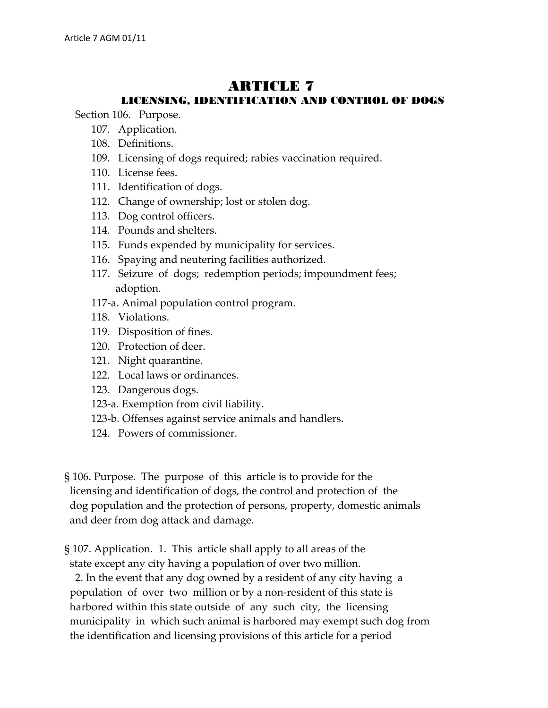## ARTICLE 7 LICENSING, IDENTIFICATION AND CONTROL OF DOGS

Section 106. Purpose.

- 107. Application.
- 108. Definitions.
- 109. Licensing of dogs required; rabies vaccination required.
- 110. License fees.
- 111. Identification of dogs.
- 112. Change of ownership; lost or stolen dog.
- 113. Dog control officers.
- 114. Pounds and shelters.
- 115. Funds expended by municipality for services.
- 116. Spaying and neutering facilities authorized.
- 117. Seizure of dogs; redemption periods; impoundment fees; adoption.
- 117-a. Animal population control program.
- 118. Violations.
- 119. Disposition of fines.
- 120. Protection of deer.
- 121. Night quarantine.
- 122. Local laws or ordinances.
- 123. Dangerous dogs.
- 123-a. Exemption from civil liability.
- 123-b. Offenses against service animals and handlers.
- 124. Powers of commissioner.
- § 106. Purpose. The purpose of this article is to provide for the licensing and identification of dogs, the control and protection of the dog population and the protection of persons, property, domestic animals and deer from dog attack and damage.
- § 107. Application. 1. This article shall apply to all areas of the state except any city having a population of over two million. 2. In the event that any dog owned by a resident of any city having a population of over two million or by a non-resident of this state is harbored within this state outside of any such city, the licensing municipality in which such animal is harbored may exempt such dog from the identification and licensing provisions of this article for a period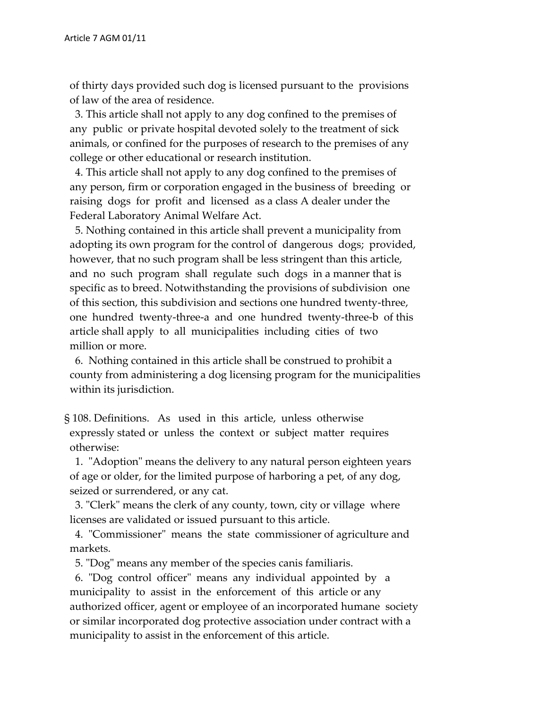of thirty days provided such dog is licensed pursuant to the provisions of law of the area of residence.

 3. This article shall not apply to any dog confined to the premises of any public or private hospital devoted solely to the treatment of sick animals, or confined for the purposes of research to the premises of any college or other educational or research institution.

 4. This article shall not apply to any dog confined to the premises of any person, firm or corporation engaged in the business of breeding or raising dogs for profit and licensed as a class A dealer under the Federal Laboratory Animal Welfare Act.

 5. Nothing contained in this article shall prevent a municipality from adopting its own program for the control of dangerous dogs; provided, however, that no such program shall be less stringent than this article, and no such program shall regulate such dogs in a manner that is specific as to breed. Notwithstanding the provisions of subdivision one of this section, this subdivision and sections one hundred twenty-three, one hundred twenty-three-a and one hundred twenty-three-b of this article shall apply to all municipalities including cities of two million or more.

 6. Nothing contained in this article shall be construed to prohibit a county from administering a dog licensing program for the municipalities within its jurisdiction.

§ 108. Definitions. As used in this article, unless otherwise expressly stated or unless the context or subject matter requires otherwise:

 1. "Adoption" means the delivery to any natural person eighteen years of age or older, for the limited purpose of harboring a pet, of any dog, seized or surrendered, or any cat.

 3. "Clerk" means the clerk of any county, town, city or village where licenses are validated or issued pursuant to this article.

 4. "Commissioner" means the state commissioner of agriculture and markets.

5. "Dog" means any member of the species canis familiaris.

 6. "Dog control officer" means any individual appointed by a municipality to assist in the enforcement of this article or any authorized officer, agent or employee of an incorporated humane society or similar incorporated dog protective association under contract with a municipality to assist in the enforcement of this article.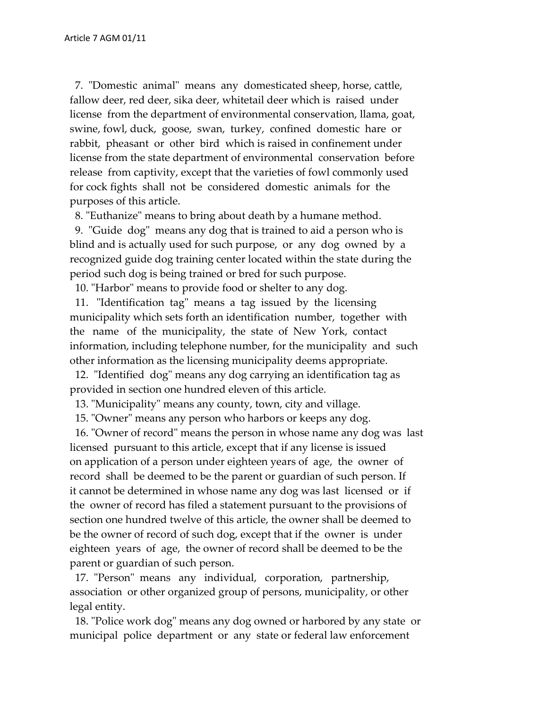7. "Domestic animal" means any domesticated sheep, horse, cattle, fallow deer, red deer, sika deer, whitetail deer which is raised under license from the department of environmental conservation, llama, goat, swine, fowl, duck, goose, swan, turkey, confined domestic hare or rabbit, pheasant or other bird which is raised in confinement under license from the state department of environmental conservation before release from captivity, except that the varieties of fowl commonly used for cock fights shall not be considered domestic animals for the purposes of this article.

8. "Euthanize" means to bring about death by a humane method.

 9. "Guide dog" means any dog that is trained to aid a person who is blind and is actually used for such purpose, or any dog owned by a recognized guide dog training center located within the state during the period such dog is being trained or bred for such purpose.

10. "Harbor" means to provide food or shelter to any dog.

 11. "Identification tag" means a tag issued by the licensing municipality which sets forth an identification number, together with the name of the municipality, the state of New York, contact information, including telephone number, for the municipality and such other information as the licensing municipality deems appropriate.

 12. "Identified dog" means any dog carrying an identification tag as provided in section one hundred eleven of this article.

13. "Municipality" means any county, town, city and village.

15. "Owner" means any person who harbors or keeps any dog.

 16. "Owner of record" means the person in whose name any dog was last licensed pursuant to this article, except that if any license is issued on application of a person under eighteen years of age, the owner of record shall be deemed to be the parent or guardian of such person. If it cannot be determined in whose name any dog was last licensed or if the owner of record has filed a statement pursuant to the provisions of section one hundred twelve of this article, the owner shall be deemed to be the owner of record of such dog, except that if the owner is under eighteen years of age, the owner of record shall be deemed to be the parent or guardian of such person.

 17. "Person" means any individual, corporation, partnership, association or other organized group of persons, municipality, or other legal entity.

 18. "Police work dog" means any dog owned or harbored by any state or municipal police department or any state or federal law enforcement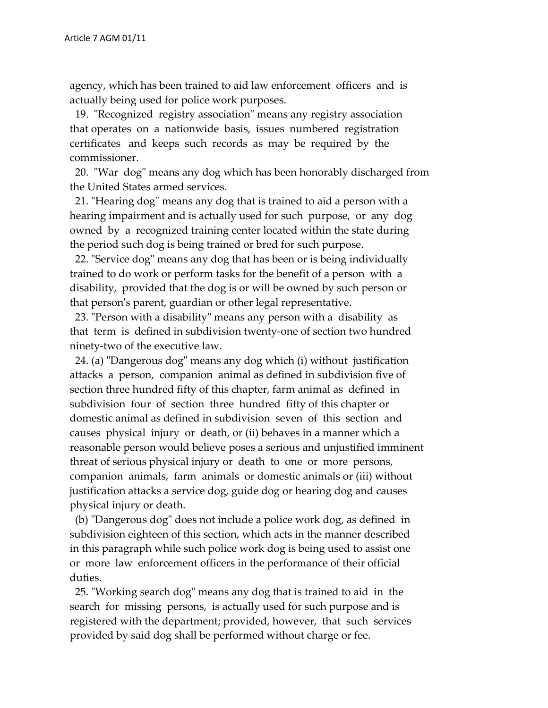agency, which has been trained to aid law enforcement officers and is actually being used for police work purposes.

 19. "Recognized registry association" means any registry association that operates on a nationwide basis, issues numbered registration certificates and keeps such records as may be required by the commissioner.

 20. "War dog" means any dog which has been honorably discharged from the United States armed services.

 21. "Hearing dog" means any dog that is trained to aid a person with a hearing impairment and is actually used for such purpose, or any dog owned by a recognized training center located within the state during the period such dog is being trained or bred for such purpose.

 22. "Service dog" means any dog that has been or is being individually trained to do work or perform tasks for the benefit of a person with a disability, provided that the dog is or will be owned by such person or that person's parent, guardian or other legal representative.

 23. "Person with a disability" means any person with a disability as that term is defined in subdivision twenty-one of section two hundred ninety-two of the executive law.

 24. (a) "Dangerous dog" means any dog which (i) without justification attacks a person, companion animal as defined in subdivision five of section three hundred fifty of this chapter, farm animal as defined in subdivision four of section three hundred fifty of this chapter or domestic animal as defined in subdivision seven of this section and causes physical injury or death, or (ii) behaves in a manner which a reasonable person would believe poses a serious and unjustified imminent threat of serious physical injury or death to one or more persons, companion animals, farm animals or domestic animals or (iii) without justification attacks a service dog, guide dog or hearing dog and causes physical injury or death.

 (b) "Dangerous dog" does not include a police work dog, as defined in subdivision eighteen of this section, which acts in the manner described in this paragraph while such police work dog is being used to assist one or more law enforcement officers in the performance of their official duties.

 25. "Working search dog" means any dog that is trained to aid in the search for missing persons, is actually used for such purpose and is registered with the department; provided, however, that such services provided by said dog shall be performed without charge or fee.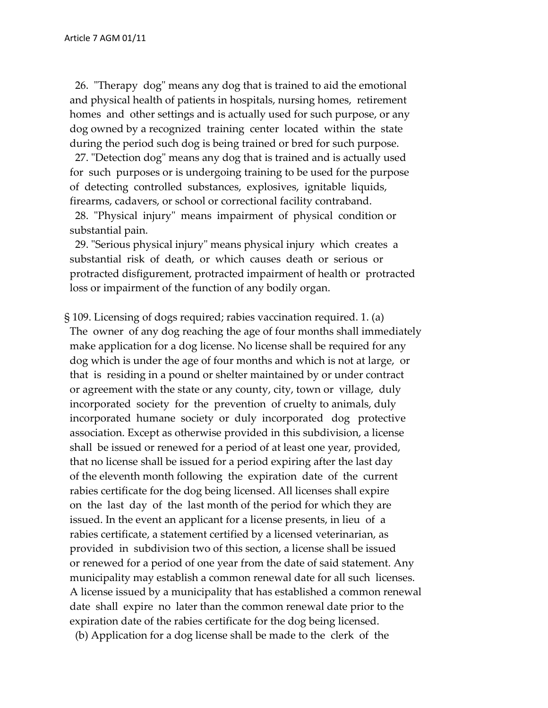26. "Therapy dog" means any dog that is trained to aid the emotional and physical health of patients in hospitals, nursing homes, retirement homes and other settings and is actually used for such purpose, or any dog owned by a recognized training center located within the state during the period such dog is being trained or bred for such purpose.

 27. "Detection dog" means any dog that is trained and is actually used for such purposes or is undergoing training to be used for the purpose of detecting controlled substances, explosives, ignitable liquids, firearms, cadavers, or school or correctional facility contraband.

 28. "Physical injury" means impairment of physical condition or substantial pain.

 29. "Serious physical injury" means physical injury which creates a substantial risk of death, or which causes death or serious or protracted disfigurement, protracted impairment of health or protracted loss or impairment of the function of any bodily organ.

§ 109. Licensing of dogs required; rabies vaccination required. 1. (a) The owner of any dog reaching the age of four months shall immediately make application for a dog license. No license shall be required for any dog which is under the age of four months and which is not at large, or that is residing in a pound or shelter maintained by or under contract or agreement with the state or any county, city, town or village, duly incorporated society for the prevention of cruelty to animals, duly incorporated humane society or duly incorporated dog protective association. Except as otherwise provided in this subdivision, a license shall be issued or renewed for a period of at least one year, provided, that no license shall be issued for a period expiring after the last day of the eleventh month following the expiration date of the current rabies certificate for the dog being licensed. All licenses shall expire on the last day of the last month of the period for which they are issued. In the event an applicant for a license presents, in lieu of a rabies certificate, a statement certified by a licensed veterinarian, as provided in subdivision two of this section, a license shall be issued or renewed for a period of one year from the date of said statement. Any municipality may establish a common renewal date for all such licenses. A license issued by a municipality that has established a common renewal date shall expire no later than the common renewal date prior to the expiration date of the rabies certificate for the dog being licensed. (b) Application for a dog license shall be made to the clerk of the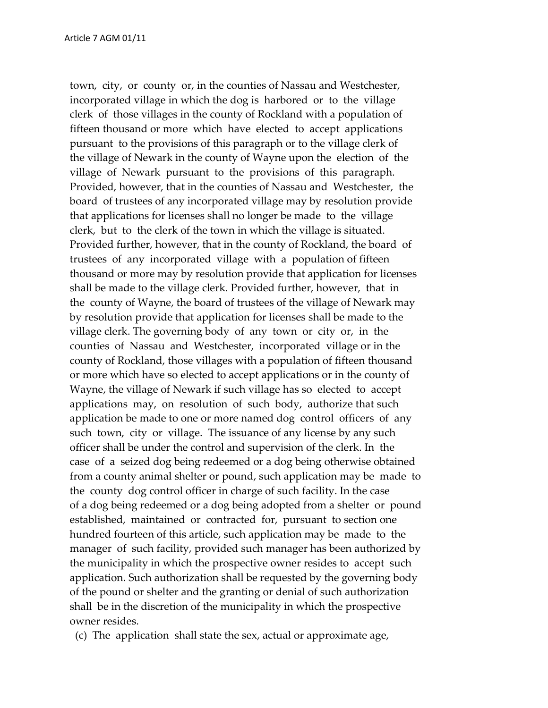town, city, or county or, in the counties of Nassau and Westchester, incorporated village in which the dog is harbored or to the village clerk of those villages in the county of Rockland with a population of fifteen thousand or more which have elected to accept applications pursuant to the provisions of this paragraph or to the village clerk of the village of Newark in the county of Wayne upon the election of the village of Newark pursuant to the provisions of this paragraph. Provided, however, that in the counties of Nassau and Westchester, the board of trustees of any incorporated village may by resolution provide that applications for licenses shall no longer be made to the village clerk, but to the clerk of the town in which the village is situated. Provided further, however, that in the county of Rockland, the board of trustees of any incorporated village with a population of fifteen thousand or more may by resolution provide that application for licenses shall be made to the village clerk. Provided further, however, that in the county of Wayne, the board of trustees of the village of Newark may by resolution provide that application for licenses shall be made to the village clerk. The governing body of any town or city or, in the counties of Nassau and Westchester, incorporated village or in the county of Rockland, those villages with a population of fifteen thousand or more which have so elected to accept applications or in the county of Wayne, the village of Newark if such village has so elected to accept applications may, on resolution of such body, authorize that such application be made to one or more named dog control officers of any such town, city or village. The issuance of any license by any such officer shall be under the control and supervision of the clerk. In the case of a seized dog being redeemed or a dog being otherwise obtained from a county animal shelter or pound, such application may be made to the county dog control officer in charge of such facility. In the case of a dog being redeemed or a dog being adopted from a shelter or pound established, maintained or contracted for, pursuant to section one hundred fourteen of this article, such application may be made to the manager of such facility, provided such manager has been authorized by the municipality in which the prospective owner resides to accept such application. Such authorization shall be requested by the governing body of the pound or shelter and the granting or denial of such authorization shall be in the discretion of the municipality in which the prospective owner resides.

(c) The application shall state the sex, actual or approximate age,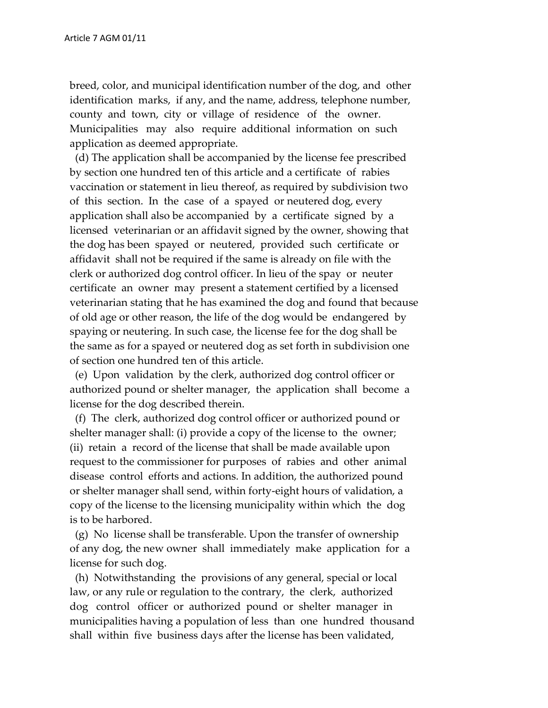breed, color, and municipal identification number of the dog, and other identification marks, if any, and the name, address, telephone number, county and town, city or village of residence of the owner. Municipalities may also require additional information on such application as deemed appropriate.

 (d) The application shall be accompanied by the license fee prescribed by section one hundred ten of this article and a certificate of rabies vaccination or statement in lieu thereof, as required by subdivision two of this section. In the case of a spayed or neutered dog, every application shall also be accompanied by a certificate signed by a licensed veterinarian or an affidavit signed by the owner, showing that the dog has been spayed or neutered, provided such certificate or affidavit shall not be required if the same is already on file with the clerk or authorized dog control officer. In lieu of the spay or neuter certificate an owner may present a statement certified by a licensed veterinarian stating that he has examined the dog and found that because of old age or other reason, the life of the dog would be endangered by spaying or neutering. In such case, the license fee for the dog shall be the same as for a spayed or neutered dog as set forth in subdivision one of section one hundred ten of this article.

 (e) Upon validation by the clerk, authorized dog control officer or authorized pound or shelter manager, the application shall become a license for the dog described therein.

 (f) The clerk, authorized dog control officer or authorized pound or shelter manager shall: (i) provide a copy of the license to the owner; (ii) retain a record of the license that shall be made available upon request to the commissioner for purposes of rabies and other animal disease control efforts and actions. In addition, the authorized pound or shelter manager shall send, within forty-eight hours of validation, a copy of the license to the licensing municipality within which the dog is to be harbored.

 (g) No license shall be transferable. Upon the transfer of ownership of any dog, the new owner shall immediately make application for a license for such dog.

 (h) Notwithstanding the provisions of any general, special or local law, or any rule or regulation to the contrary, the clerk, authorized dog control officer or authorized pound or shelter manager in municipalities having a population of less than one hundred thousand shall within five business days after the license has been validated,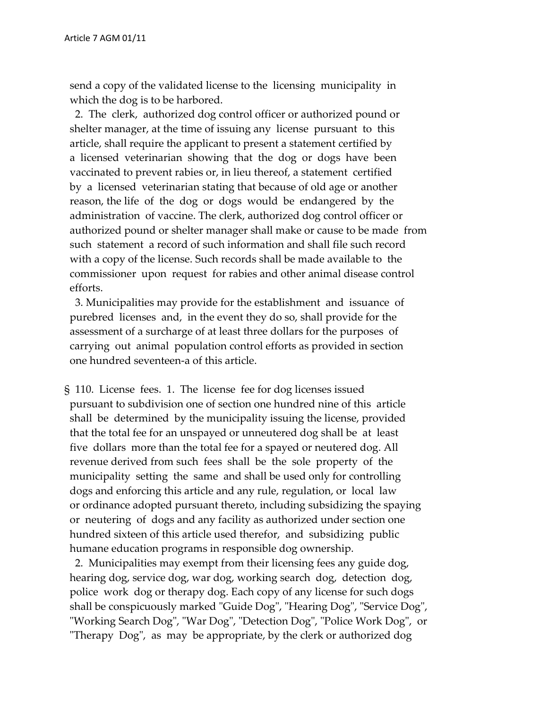send a copy of the validated license to the licensing municipality in which the dog is to be harbored.

 2. The clerk, authorized dog control officer or authorized pound or shelter manager, at the time of issuing any license pursuant to this article, shall require the applicant to present a statement certified by a licensed veterinarian showing that the dog or dogs have been vaccinated to prevent rabies or, in lieu thereof, a statement certified by a licensed veterinarian stating that because of old age or another reason, the life of the dog or dogs would be endangered by the administration of vaccine. The clerk, authorized dog control officer or authorized pound or shelter manager shall make or cause to be made from such statement a record of such information and shall file such record with a copy of the license. Such records shall be made available to the commissioner upon request for rabies and other animal disease control efforts.

 3. Municipalities may provide for the establishment and issuance of purebred licenses and, in the event they do so, shall provide for the assessment of a surcharge of at least three dollars for the purposes of carrying out animal population control efforts as provided in section one hundred seventeen-a of this article.

§ 110. License fees. 1. The license fee for dog licenses issued pursuant to subdivision one of section one hundred nine of this article shall be determined by the municipality issuing the license, provided that the total fee for an unspayed or unneutered dog shall be at least five dollars more than the total fee for a spayed or neutered dog. All revenue derived from such fees shall be the sole property of the municipality setting the same and shall be used only for controlling dogs and enforcing this article and any rule, regulation, or local law or ordinance adopted pursuant thereto, including subsidizing the spaying or neutering of dogs and any facility as authorized under section one hundred sixteen of this article used therefor, and subsidizing public humane education programs in responsible dog ownership.

 2. Municipalities may exempt from their licensing fees any guide dog, hearing dog, service dog, war dog, working search dog, detection dog, police work dog or therapy dog. Each copy of any license for such dogs shall be conspicuously marked "Guide Dog", "Hearing Dog", "Service Dog", "Working Search Dog", "War Dog", "Detection Dog", "Police Work Dog", or "Therapy Dog", as may be appropriate, by the clerk or authorized dog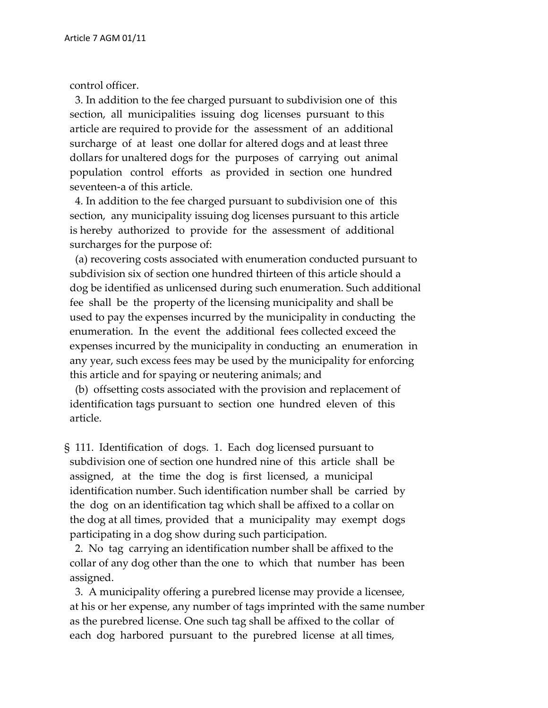control officer.

 3. In addition to the fee charged pursuant to subdivision one of this section, all municipalities issuing dog licenses pursuant to this article are required to provide for the assessment of an additional surcharge of at least one dollar for altered dogs and at least three dollars for unaltered dogs for the purposes of carrying out animal population control efforts as provided in section one hundred seventeen-a of this article.

 4. In addition to the fee charged pursuant to subdivision one of this section, any municipality issuing dog licenses pursuant to this article is hereby authorized to provide for the assessment of additional surcharges for the purpose of:

 (a) recovering costs associated with enumeration conducted pursuant to subdivision six of section one hundred thirteen of this article should a dog be identified as unlicensed during such enumeration. Such additional fee shall be the property of the licensing municipality and shall be used to pay the expenses incurred by the municipality in conducting the enumeration. In the event the additional fees collected exceed the expenses incurred by the municipality in conducting an enumeration in any year, such excess fees may be used by the municipality for enforcing this article and for spaying or neutering animals; and

 (b) offsetting costs associated with the provision and replacement of identification tags pursuant to section one hundred eleven of this article.

§ 111. Identification of dogs. 1. Each dog licensed pursuant to subdivision one of section one hundred nine of this article shall be assigned, at the time the dog is first licensed, a municipal identification number. Such identification number shall be carried by the dog on an identification tag which shall be affixed to a collar on the dog at all times, provided that a municipality may exempt dogs participating in a dog show during such participation.

 2. No tag carrying an identification number shall be affixed to the collar of any dog other than the one to which that number has been assigned.

 3. A municipality offering a purebred license may provide a licensee, at his or her expense, any number of tags imprinted with the same number as the purebred license. One such tag shall be affixed to the collar of each dog harbored pursuant to the purebred license at all times,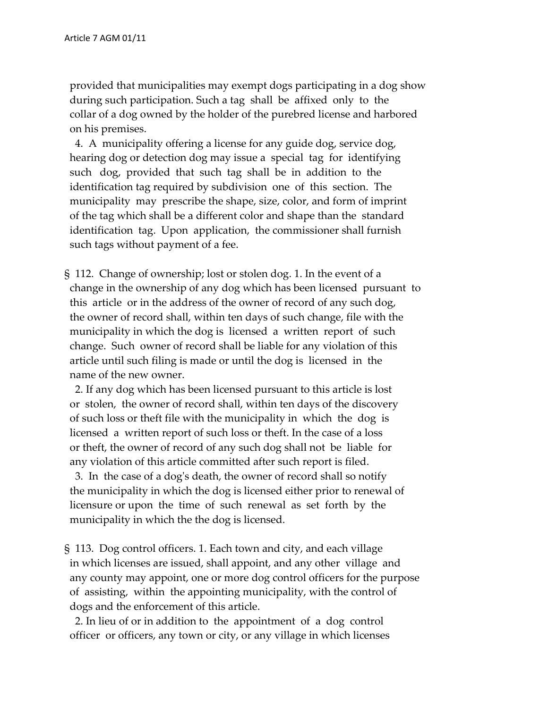provided that municipalities may exempt dogs participating in a dog show during such participation. Such a tag shall be affixed only to the collar of a dog owned by the holder of the purebred license and harbored on his premises.

 4. A municipality offering a license for any guide dog, service dog, hearing dog or detection dog may issue a special tag for identifying such dog, provided that such tag shall be in addition to the identification tag required by subdivision one of this section. The municipality may prescribe the shape, size, color, and form of imprint of the tag which shall be a different color and shape than the standard identification tag. Upon application, the commissioner shall furnish such tags without payment of a fee.

§ 112. Change of ownership; lost or stolen dog. 1. In the event of a change in the ownership of any dog which has been licensed pursuant to this article or in the address of the owner of record of any such dog, the owner of record shall, within ten days of such change, file with the municipality in which the dog is licensed a written report of such change. Such owner of record shall be liable for any violation of this article until such filing is made or until the dog is licensed in the name of the new owner.

 2. If any dog which has been licensed pursuant to this article is lost or stolen, the owner of record shall, within ten days of the discovery of such loss or theft file with the municipality in which the dog is licensed a written report of such loss or theft. In the case of a loss or theft, the owner of record of any such dog shall not be liable for any violation of this article committed after such report is filed. 3. In the case of a dog's death, the owner of record shall so notify the municipality in which the dog is licensed either prior to renewal of licensure or upon the time of such renewal as set forth by the municipality in which the the dog is licensed.

§ 113. Dog control officers. 1. Each town and city, and each village in which licenses are issued, shall appoint, and any other village and any county may appoint, one or more dog control officers for the purpose of assisting, within the appointing municipality, with the control of dogs and the enforcement of this article.

 2. In lieu of or in addition to the appointment of a dog control officer or officers, any town or city, or any village in which licenses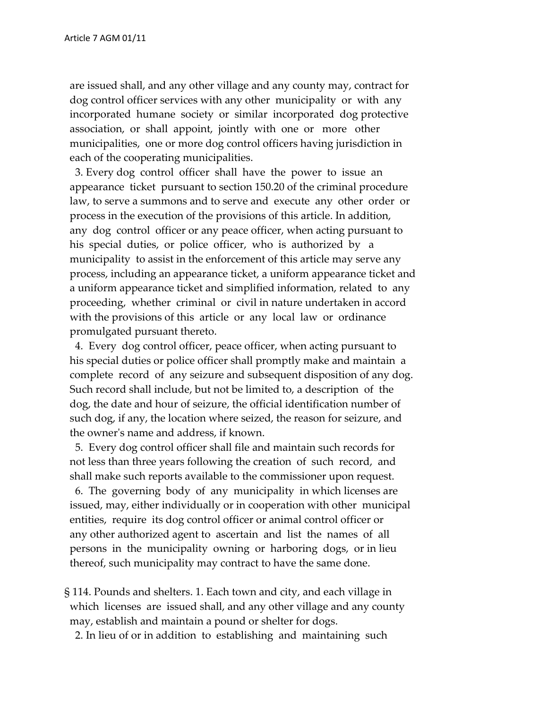are issued shall, and any other village and any county may, contract for dog control officer services with any other municipality or with any incorporated humane society or similar incorporated dog protective association, or shall appoint, jointly with one or more other municipalities, one or more dog control officers having jurisdiction in each of the cooperating municipalities.

 3. Every dog control officer shall have the power to issue an appearance ticket pursuant to section 150.20 of the criminal procedure law, to serve a summons and to serve and execute any other order or process in the execution of the provisions of this article. In addition, any dog control officer or any peace officer, when acting pursuant to his special duties, or police officer, who is authorized by a municipality to assist in the enforcement of this article may serve any process, including an appearance ticket, a uniform appearance ticket and a uniform appearance ticket and simplified information, related to any proceeding, whether criminal or civil in nature undertaken in accord with the provisions of this article or any local law or ordinance promulgated pursuant thereto.

 4. Every dog control officer, peace officer, when acting pursuant to his special duties or police officer shall promptly make and maintain a complete record of any seizure and subsequent disposition of any dog. Such record shall include, but not be limited to, a description of the dog, the date and hour of seizure, the official identification number of such dog, if any, the location where seized, the reason for seizure, and the owner's name and address, if known.

 5. Every dog control officer shall file and maintain such records for not less than three years following the creation of such record, and shall make such reports available to the commissioner upon request. 6. The governing body of any municipality in which licenses are issued, may, either individually or in cooperation with other municipal entities, require its dog control officer or animal control officer or any other authorized agent to ascertain and list the names of all persons in the municipality owning or harboring dogs, or in lieu thereof, such municipality may contract to have the same done.

§ 114. Pounds and shelters. 1. Each town and city, and each village in which licenses are issued shall, and any other village and any county may, establish and maintain a pound or shelter for dogs.

2. In lieu of or in addition to establishing and maintaining such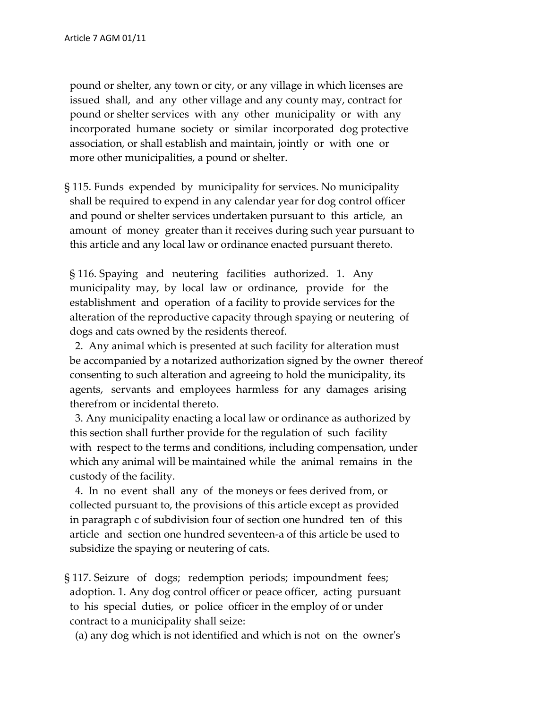pound or shelter, any town or city, or any village in which licenses are issued shall, and any other village and any county may, contract for pound or shelter services with any other municipality or with any incorporated humane society or similar incorporated dog protective association, or shall establish and maintain, jointly or with one or more other municipalities, a pound or shelter.

§ 115. Funds expended by municipality for services. No municipality shall be required to expend in any calendar year for dog control officer and pound or shelter services undertaken pursuant to this article, an amount of money greater than it receives during such year pursuant to this article and any local law or ordinance enacted pursuant thereto.

 § 116. Spaying and neutering facilities authorized. 1. Any municipality may, by local law or ordinance, provide for the establishment and operation of a facility to provide services for the alteration of the reproductive capacity through spaying or neutering of dogs and cats owned by the residents thereof.

 2. Any animal which is presented at such facility for alteration must be accompanied by a notarized authorization signed by the owner thereof consenting to such alteration and agreeing to hold the municipality, its agents, servants and employees harmless for any damages arising therefrom or incidental thereto.

 3. Any municipality enacting a local law or ordinance as authorized by this section shall further provide for the regulation of such facility with respect to the terms and conditions, including compensation, under which any animal will be maintained while the animal remains in the custody of the facility.

 4. In no event shall any of the moneys or fees derived from, or collected pursuant to, the provisions of this article except as provided in paragraph c of subdivision four of section one hundred ten of this article and section one hundred seventeen-a of this article be used to subsidize the spaying or neutering of cats.

§ 117. Seizure of dogs; redemption periods; impoundment fees; adoption. 1. Any dog control officer or peace officer, acting pursuant to his special duties, or police officer in the employ of or under contract to a municipality shall seize:

(a) any dog which is not identified and which is not on the owner's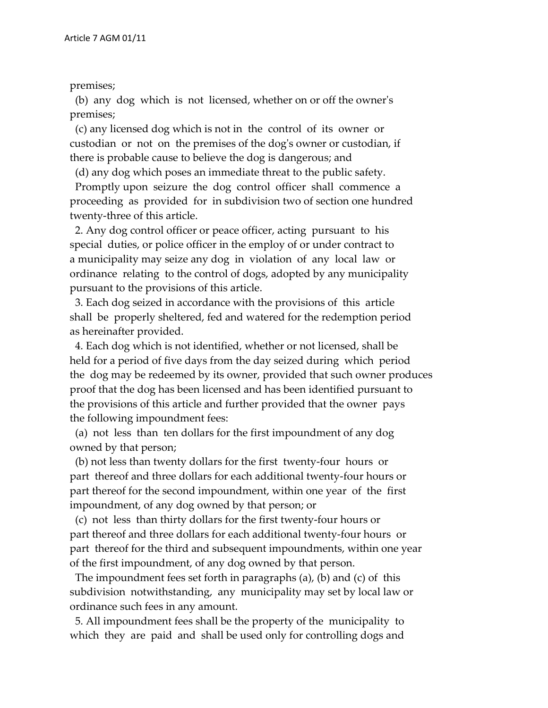## premises;

 (b) any dog which is not licensed, whether on or off the owner's premises;

 (c) any licensed dog which is not in the control of its owner or custodian or not on the premises of the dog's owner or custodian, if there is probable cause to believe the dog is dangerous; and

(d) any dog which poses an immediate threat to the public safety.

 Promptly upon seizure the dog control officer shall commence a proceeding as provided for in subdivision two of section one hundred twenty-three of this article.

 2. Any dog control officer or peace officer, acting pursuant to his special duties, or police officer in the employ of or under contract to a municipality may seize any dog in violation of any local law or ordinance relating to the control of dogs, adopted by any municipality pursuant to the provisions of this article.

 3. Each dog seized in accordance with the provisions of this article shall be properly sheltered, fed and watered for the redemption period as hereinafter provided.

 4. Each dog which is not identified, whether or not licensed, shall be held for a period of five days from the day seized during which period the dog may be redeemed by its owner, provided that such owner produces proof that the dog has been licensed and has been identified pursuant to the provisions of this article and further provided that the owner pays the following impoundment fees:

 (a) not less than ten dollars for the first impoundment of any dog owned by that person;

 (b) not less than twenty dollars for the first twenty-four hours or part thereof and three dollars for each additional twenty-four hours or part thereof for the second impoundment, within one year of the first impoundment, of any dog owned by that person; or

 (c) not less than thirty dollars for the first twenty-four hours or part thereof and three dollars for each additional twenty-four hours or part thereof for the third and subsequent impoundments, within one year of the first impoundment, of any dog owned by that person.

 The impoundment fees set forth in paragraphs (a), (b) and (c) of this subdivision notwithstanding, any municipality may set by local law or ordinance such fees in any amount.

 5. All impoundment fees shall be the property of the municipality to which they are paid and shall be used only for controlling dogs and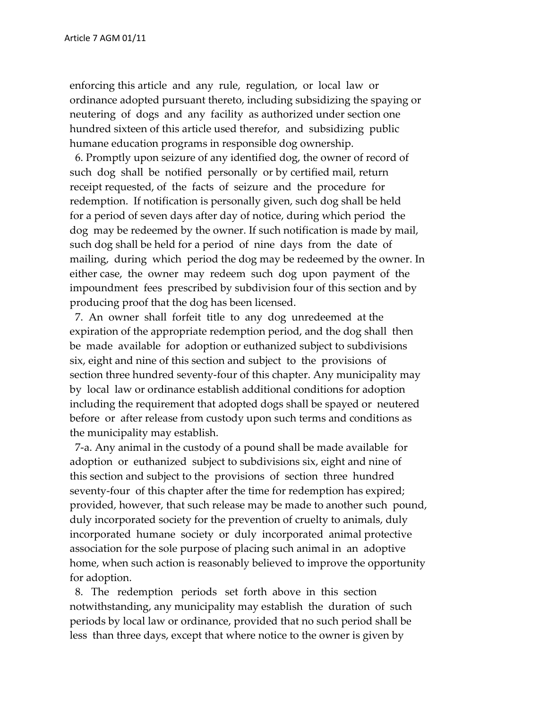enforcing this article and any rule, regulation, or local law or ordinance adopted pursuant thereto, including subsidizing the spaying or neutering of dogs and any facility as authorized under section one hundred sixteen of this article used therefor, and subsidizing public humane education programs in responsible dog ownership.

 6. Promptly upon seizure of any identified dog, the owner of record of such dog shall be notified personally or by certified mail, return receipt requested, of the facts of seizure and the procedure for redemption. If notification is personally given, such dog shall be held for a period of seven days after day of notice, during which period the dog may be redeemed by the owner. If such notification is made by mail, such dog shall be held for a period of nine days from the date of mailing, during which period the dog may be redeemed by the owner. In either case, the owner may redeem such dog upon payment of the impoundment fees prescribed by subdivision four of this section and by producing proof that the dog has been licensed.

 7. An owner shall forfeit title to any dog unredeemed at the expiration of the appropriate redemption period, and the dog shall then be made available for adoption or euthanized subject to subdivisions six, eight and nine of this section and subject to the provisions of section three hundred seventy-four of this chapter. Any municipality may by local law or ordinance establish additional conditions for adoption including the requirement that adopted dogs shall be spayed or neutered before or after release from custody upon such terms and conditions as the municipality may establish.

 7-a. Any animal in the custody of a pound shall be made available for adoption or euthanized subject to subdivisions six, eight and nine of this section and subject to the provisions of section three hundred seventy-four of this chapter after the time for redemption has expired; provided, however, that such release may be made to another such pound, duly incorporated society for the prevention of cruelty to animals, duly incorporated humane society or duly incorporated animal protective association for the sole purpose of placing such animal in an adoptive home, when such action is reasonably believed to improve the opportunity for adoption.

 8. The redemption periods set forth above in this section notwithstanding, any municipality may establish the duration of such periods by local law or ordinance, provided that no such period shall be less than three days, except that where notice to the owner is given by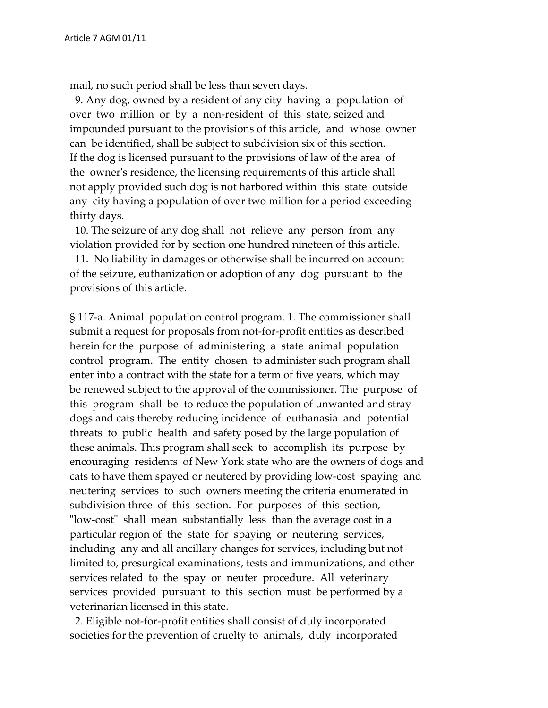mail, no such period shall be less than seven days.

 9. Any dog, owned by a resident of any city having a population of over two million or by a non-resident of this state, seized and impounded pursuant to the provisions of this article, and whose owner can be identified, shall be subject to subdivision six of this section. If the dog is licensed pursuant to the provisions of law of the area of the owner's residence, the licensing requirements of this article shall not apply provided such dog is not harbored within this state outside any city having a population of over two million for a period exceeding thirty days.

 10. The seizure of any dog shall not relieve any person from any violation provided for by section one hundred nineteen of this article.

 11. No liability in damages or otherwise shall be incurred on account of the seizure, euthanization or adoption of any dog pursuant to the provisions of this article.

 § 117-a. Animal population control program. 1. The commissioner shall submit a request for proposals from not-for-profit entities as described herein for the purpose of administering a state animal population control program. The entity chosen to administer such program shall enter into a contract with the state for a term of five years, which may be renewed subject to the approval of the commissioner. The purpose of this program shall be to reduce the population of unwanted and stray dogs and cats thereby reducing incidence of euthanasia and potential threats to public health and safety posed by the large population of these animals. This program shall seek to accomplish its purpose by encouraging residents of New York state who are the owners of dogs and cats to have them spayed or neutered by providing low-cost spaying and neutering services to such owners meeting the criteria enumerated in subdivision three of this section. For purposes of this section, "low-cost" shall mean substantially less than the average cost in a particular region of the state for spaying or neutering services, including any and all ancillary changes for services, including but not limited to, presurgical examinations, tests and immunizations, and other services related to the spay or neuter procedure. All veterinary services provided pursuant to this section must be performed by a veterinarian licensed in this state.

 2. Eligible not-for-profit entities shall consist of duly incorporated societies for the prevention of cruelty to animals, duly incorporated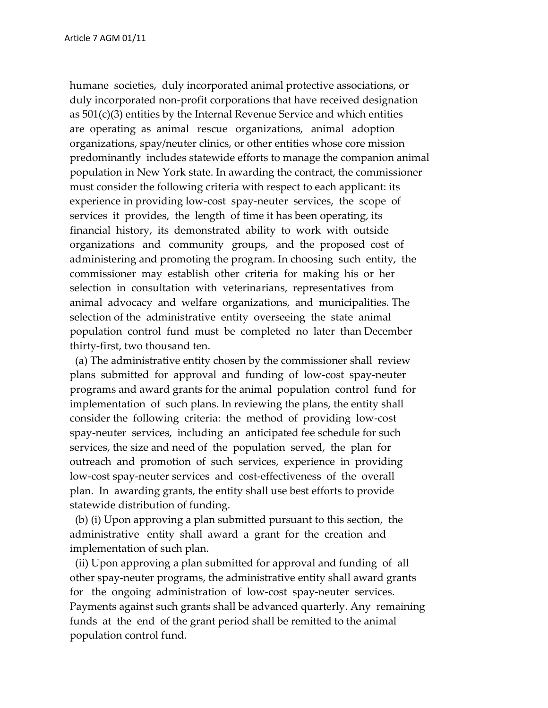humane societies, duly incorporated animal protective associations, or duly incorporated non-profit corporations that have received designation as  $501(c)(3)$  entities by the Internal Revenue Service and which entities are operating as animal rescue organizations, animal adoption organizations, spay/neuter clinics, or other entities whose core mission predominantly includes statewide efforts to manage the companion animal population in New York state. In awarding the contract, the commissioner must consider the following criteria with respect to each applicant: its experience in providing low-cost spay-neuter services, the scope of services it provides, the length of time it has been operating, its financial history, its demonstrated ability to work with outside organizations and community groups, and the proposed cost of administering and promoting the program. In choosing such entity, the commissioner may establish other criteria for making his or her selection in consultation with veterinarians, representatives from animal advocacy and welfare organizations, and municipalities. The selection of the administrative entity overseeing the state animal population control fund must be completed no later than December thirty-first, two thousand ten.

 (a) The administrative entity chosen by the commissioner shall review plans submitted for approval and funding of low-cost spay-neuter programs and award grants for the animal population control fund for implementation of such plans. In reviewing the plans, the entity shall consider the following criteria: the method of providing low-cost spay-neuter services, including an anticipated fee schedule for such services, the size and need of the population served, the plan for outreach and promotion of such services, experience in providing low-cost spay-neuter services and cost-effectiveness of the overall plan. In awarding grants, the entity shall use best efforts to provide statewide distribution of funding.

 (b) (i) Upon approving a plan submitted pursuant to this section, the administrative entity shall award a grant for the creation and implementation of such plan.

 (ii) Upon approving a plan submitted for approval and funding of all other spay-neuter programs, the administrative entity shall award grants for the ongoing administration of low-cost spay-neuter services. Payments against such grants shall be advanced quarterly. Any remaining funds at the end of the grant period shall be remitted to the animal population control fund.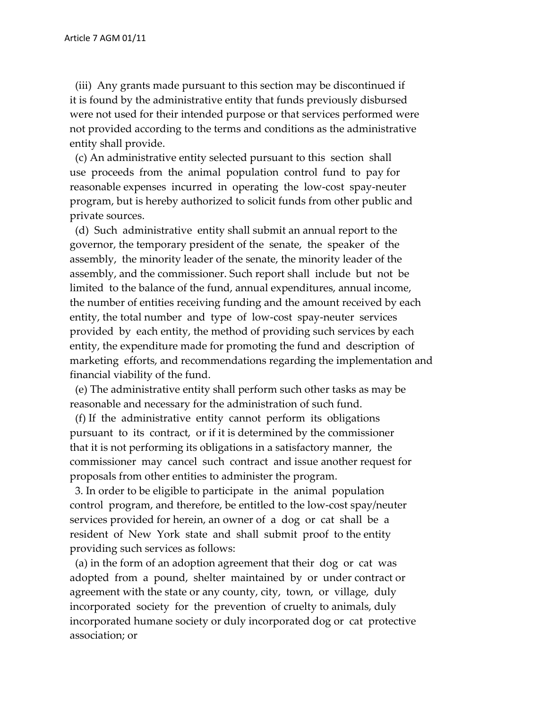(iii) Any grants made pursuant to this section may be discontinued if it is found by the administrative entity that funds previously disbursed were not used for their intended purpose or that services performed were not provided according to the terms and conditions as the administrative entity shall provide.

 (c) An administrative entity selected pursuant to this section shall use proceeds from the animal population control fund to pay for reasonable expenses incurred in operating the low-cost spay-neuter program, but is hereby authorized to solicit funds from other public and private sources.

 (d) Such administrative entity shall submit an annual report to the governor, the temporary president of the senate, the speaker of the assembly, the minority leader of the senate, the minority leader of the assembly, and the commissioner. Such report shall include but not be limited to the balance of the fund, annual expenditures, annual income, the number of entities receiving funding and the amount received by each entity, the total number and type of low-cost spay-neuter services provided by each entity, the method of providing such services by each entity, the expenditure made for promoting the fund and description of marketing efforts, and recommendations regarding the implementation and financial viability of the fund.

 (e) The administrative entity shall perform such other tasks as may be reasonable and necessary for the administration of such fund.

 (f) If the administrative entity cannot perform its obligations pursuant to its contract, or if it is determined by the commissioner that it is not performing its obligations in a satisfactory manner, the commissioner may cancel such contract and issue another request for proposals from other entities to administer the program.

 3. In order to be eligible to participate in the animal population control program, and therefore, be entitled to the low-cost spay/neuter services provided for herein, an owner of a dog or cat shall be a resident of New York state and shall submit proof to the entity providing such services as follows:

 (a) in the form of an adoption agreement that their dog or cat was adopted from a pound, shelter maintained by or under contract or agreement with the state or any county, city, town, or village, duly incorporated society for the prevention of cruelty to animals, duly incorporated humane society or duly incorporated dog or cat protective association; or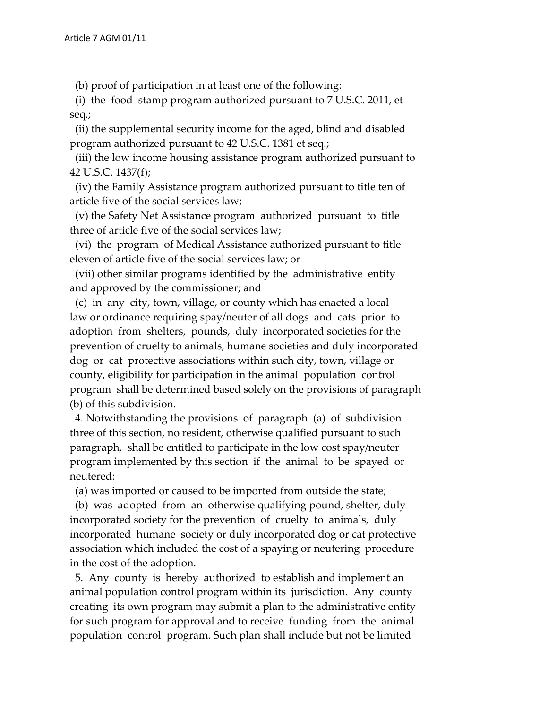(b) proof of participation in at least one of the following:

 (i) the food stamp program authorized pursuant to 7 U.S.C. 2011, et seq.;

 (ii) the supplemental security income for the aged, blind and disabled program authorized pursuant to 42 U.S.C. 1381 et seq.;

 (iii) the low income housing assistance program authorized pursuant to 42 U.S.C. 1437(f);

 (iv) the Family Assistance program authorized pursuant to title ten of article five of the social services law;

 (v) the Safety Net Assistance program authorized pursuant to title three of article five of the social services law;

 (vi) the program of Medical Assistance authorized pursuant to title eleven of article five of the social services law; or

 (vii) other similar programs identified by the administrative entity and approved by the commissioner; and

 (c) in any city, town, village, or county which has enacted a local law or ordinance requiring spay/neuter of all dogs and cats prior to adoption from shelters, pounds, duly incorporated societies for the prevention of cruelty to animals, humane societies and duly incorporated dog or cat protective associations within such city, town, village or county, eligibility for participation in the animal population control program shall be determined based solely on the provisions of paragraph (b) of this subdivision.

 4. Notwithstanding the provisions of paragraph (a) of subdivision three of this section, no resident, otherwise qualified pursuant to such paragraph, shall be entitled to participate in the low cost spay/neuter program implemented by this section if the animal to be spayed or neutered:

(a) was imported or caused to be imported from outside the state;

 (b) was adopted from an otherwise qualifying pound, shelter, duly incorporated society for the prevention of cruelty to animals, duly incorporated humane society or duly incorporated dog or cat protective association which included the cost of a spaying or neutering procedure in the cost of the adoption.

 5. Any county is hereby authorized to establish and implement an animal population control program within its jurisdiction. Any county creating its own program may submit a plan to the administrative entity for such program for approval and to receive funding from the animal population control program. Such plan shall include but not be limited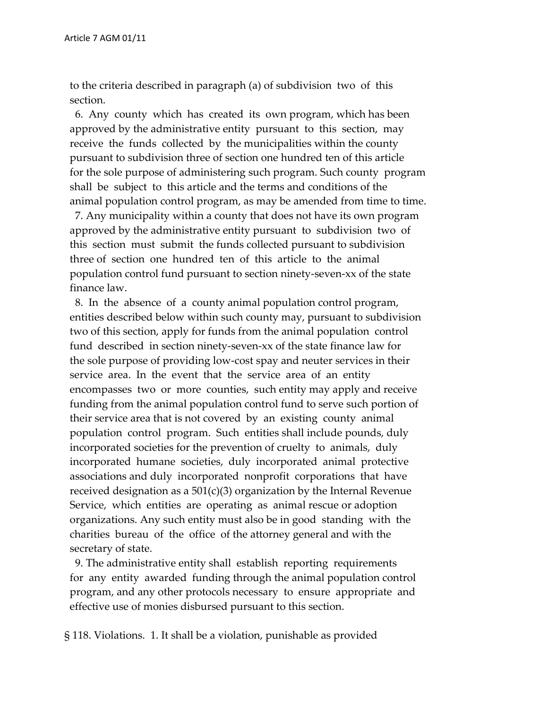to the criteria described in paragraph (a) of subdivision two of this section.

 6. Any county which has created its own program, which has been approved by the administrative entity pursuant to this section, may receive the funds collected by the municipalities within the county pursuant to subdivision three of section one hundred ten of this article for the sole purpose of administering such program. Such county program shall be subject to this article and the terms and conditions of the animal population control program, as may be amended from time to time.

 7. Any municipality within a county that does not have its own program approved by the administrative entity pursuant to subdivision two of this section must submit the funds collected pursuant to subdivision three of section one hundred ten of this article to the animal population control fund pursuant to section ninety-seven-xx of the state finance law.

 8. In the absence of a county animal population control program, entities described below within such county may, pursuant to subdivision two of this section, apply for funds from the animal population control fund described in section ninety-seven-xx of the state finance law for the sole purpose of providing low-cost spay and neuter services in their service area. In the event that the service area of an entity encompasses two or more counties, such entity may apply and receive funding from the animal population control fund to serve such portion of their service area that is not covered by an existing county animal population control program. Such entities shall include pounds, duly incorporated societies for the prevention of cruelty to animals, duly incorporated humane societies, duly incorporated animal protective associations and duly incorporated nonprofit corporations that have received designation as a 501(c)(3) organization by the Internal Revenue Service, which entities are operating as animal rescue or adoption organizations. Any such entity must also be in good standing with the charities bureau of the office of the attorney general and with the secretary of state.

 9. The administrative entity shall establish reporting requirements for any entity awarded funding through the animal population control program, and any other protocols necessary to ensure appropriate and effective use of monies disbursed pursuant to this section.

§ 118. Violations. 1. It shall be a violation, punishable as provided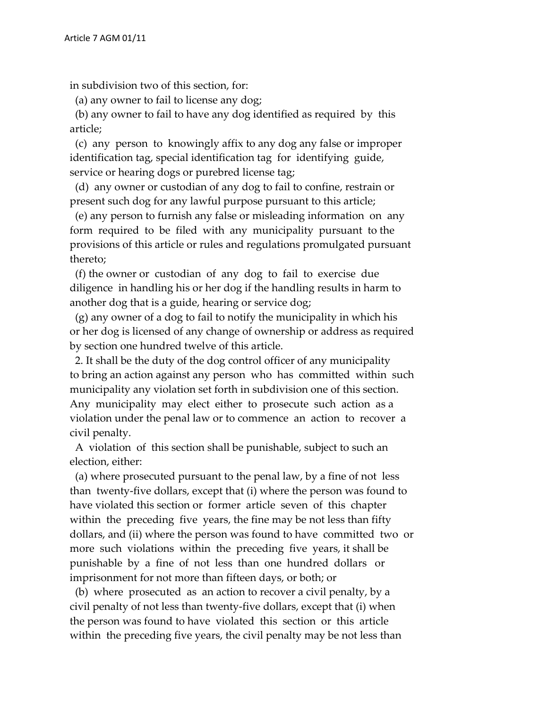in subdivision two of this section, for:

(a) any owner to fail to license any dog;

 (b) any owner to fail to have any dog identified as required by this article;

 (c) any person to knowingly affix to any dog any false or improper identification tag, special identification tag for identifying guide, service or hearing dogs or purebred license tag;

 (d) any owner or custodian of any dog to fail to confine, restrain or present such dog for any lawful purpose pursuant to this article;

 (e) any person to furnish any false or misleading information on any form required to be filed with any municipality pursuant to the provisions of this article or rules and regulations promulgated pursuant thereto;

 (f) the owner or custodian of any dog to fail to exercise due diligence in handling his or her dog if the handling results in harm to another dog that is a guide, hearing or service dog;

 (g) any owner of a dog to fail to notify the municipality in which his or her dog is licensed of any change of ownership or address as required by section one hundred twelve of this article.

 2. It shall be the duty of the dog control officer of any municipality to bring an action against any person who has committed within such municipality any violation set forth in subdivision one of this section. Any municipality may elect either to prosecute such action as a violation under the penal law or to commence an action to recover a civil penalty.

 A violation of this section shall be punishable, subject to such an election, either:

 (a) where prosecuted pursuant to the penal law, by a fine of not less than twenty-five dollars, except that (i) where the person was found to have violated this section or former article seven of this chapter within the preceding five years, the fine may be not less than fifty dollars, and (ii) where the person was found to have committed two or more such violations within the preceding five years, it shall be punishable by a fine of not less than one hundred dollars or imprisonment for not more than fifteen days, or both; or

 (b) where prosecuted as an action to recover a civil penalty, by a civil penalty of not less than twenty-five dollars, except that (i) when the person was found to have violated this section or this article within the preceding five years, the civil penalty may be not less than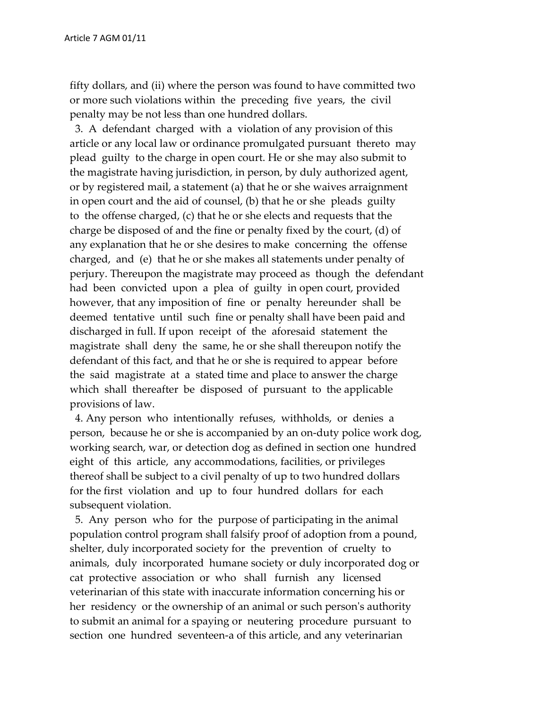fifty dollars, and (ii) where the person was found to have committed two or more such violations within the preceding five years, the civil penalty may be not less than one hundred dollars.

 3. A defendant charged with a violation of any provision of this article or any local law or ordinance promulgated pursuant thereto may plead guilty to the charge in open court. He or she may also submit to the magistrate having jurisdiction, in person, by duly authorized agent, or by registered mail, a statement (a) that he or she waives arraignment in open court and the aid of counsel, (b) that he or she pleads guilty to the offense charged, (c) that he or she elects and requests that the charge be disposed of and the fine or penalty fixed by the court, (d) of any explanation that he or she desires to make concerning the offense charged, and (e) that he or she makes all statements under penalty of perjury. Thereupon the magistrate may proceed as though the defendant had been convicted upon a plea of guilty in open court, provided however, that any imposition of fine or penalty hereunder shall be deemed tentative until such fine or penalty shall have been paid and discharged in full. If upon receipt of the aforesaid statement the magistrate shall deny the same, he or she shall thereupon notify the defendant of this fact, and that he or she is required to appear before the said magistrate at a stated time and place to answer the charge which shall thereafter be disposed of pursuant to the applicable provisions of law.

 4. Any person who intentionally refuses, withholds, or denies a person, because he or she is accompanied by an on-duty police work dog, working search, war, or detection dog as defined in section one hundred eight of this article, any accommodations, facilities, or privileges thereof shall be subject to a civil penalty of up to two hundred dollars for the first violation and up to four hundred dollars for each subsequent violation.

 5. Any person who for the purpose of participating in the animal population control program shall falsify proof of adoption from a pound, shelter, duly incorporated society for the prevention of cruelty to animals, duly incorporated humane society or duly incorporated dog or cat protective association or who shall furnish any licensed veterinarian of this state with inaccurate information concerning his or her residency or the ownership of an animal or such person's authority to submit an animal for a spaying or neutering procedure pursuant to section one hundred seventeen-a of this article, and any veterinarian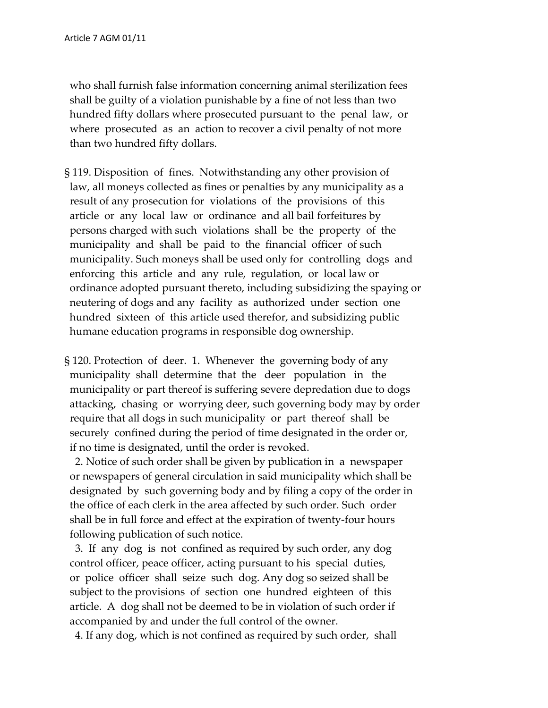who shall furnish false information concerning animal sterilization fees shall be guilty of a violation punishable by a fine of not less than two hundred fifty dollars where prosecuted pursuant to the penal law, or where prosecuted as an action to recover a civil penalty of not more than two hundred fifty dollars.

§ 119. Disposition of fines. Notwithstanding any other provision of law, all moneys collected as fines or penalties by any municipality as a result of any prosecution for violations of the provisions of this article or any local law or ordinance and all bail forfeitures by persons charged with such violations shall be the property of the municipality and shall be paid to the financial officer of such municipality. Such moneys shall be used only for controlling dogs and enforcing this article and any rule, regulation, or local law or ordinance adopted pursuant thereto, including subsidizing the spaying or neutering of dogs and any facility as authorized under section one hundred sixteen of this article used therefor, and subsidizing public humane education programs in responsible dog ownership.

§ 120. Protection of deer. 1. Whenever the governing body of any municipality shall determine that the deer population in the municipality or part thereof is suffering severe depredation due to dogs attacking, chasing or worrying deer, such governing body may by order require that all dogs in such municipality or part thereof shall be securely confined during the period of time designated in the order or, if no time is designated, until the order is revoked.

 2. Notice of such order shall be given by publication in a newspaper or newspapers of general circulation in said municipality which shall be designated by such governing body and by filing a copy of the order in the office of each clerk in the area affected by such order. Such order shall be in full force and effect at the expiration of twenty-four hours following publication of such notice.

 3. If any dog is not confined as required by such order, any dog control officer, peace officer, acting pursuant to his special duties, or police officer shall seize such dog. Any dog so seized shall be subject to the provisions of section one hundred eighteen of this article. A dog shall not be deemed to be in violation of such order if accompanied by and under the full control of the owner.

4. If any dog, which is not confined as required by such order, shall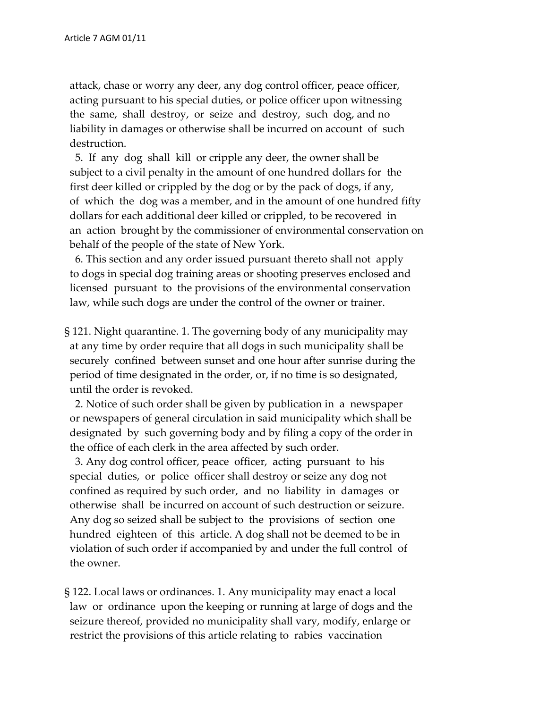attack, chase or worry any deer, any dog control officer, peace officer, acting pursuant to his special duties, or police officer upon witnessing the same, shall destroy, or seize and destroy, such dog, and no liability in damages or otherwise shall be incurred on account of such destruction.

 5. If any dog shall kill or cripple any deer, the owner shall be subject to a civil penalty in the amount of one hundred dollars for the first deer killed or crippled by the dog or by the pack of dogs, if any, of which the dog was a member, and in the amount of one hundred fifty dollars for each additional deer killed or crippled, to be recovered in an action brought by the commissioner of environmental conservation on behalf of the people of the state of New York.

 6. This section and any order issued pursuant thereto shall not apply to dogs in special dog training areas or shooting preserves enclosed and licensed pursuant to the provisions of the environmental conservation law, while such dogs are under the control of the owner or trainer.

§ 121. Night quarantine. 1. The governing body of any municipality may at any time by order require that all dogs in such municipality shall be securely confined between sunset and one hour after sunrise during the period of time designated in the order, or, if no time is so designated, until the order is revoked.

 2. Notice of such order shall be given by publication in a newspaper or newspapers of general circulation in said municipality which shall be designated by such governing body and by filing a copy of the order in the office of each clerk in the area affected by such order.

 3. Any dog control officer, peace officer, acting pursuant to his special duties, or police officer shall destroy or seize any dog not confined as required by such order, and no liability in damages or otherwise shall be incurred on account of such destruction or seizure. Any dog so seized shall be subject to the provisions of section one hundred eighteen of this article. A dog shall not be deemed to be in violation of such order if accompanied by and under the full control of the owner.

§ 122. Local laws or ordinances. 1. Any municipality may enact a local law or ordinance upon the keeping or running at large of dogs and the seizure thereof, provided no municipality shall vary, modify, enlarge or restrict the provisions of this article relating to rabies vaccination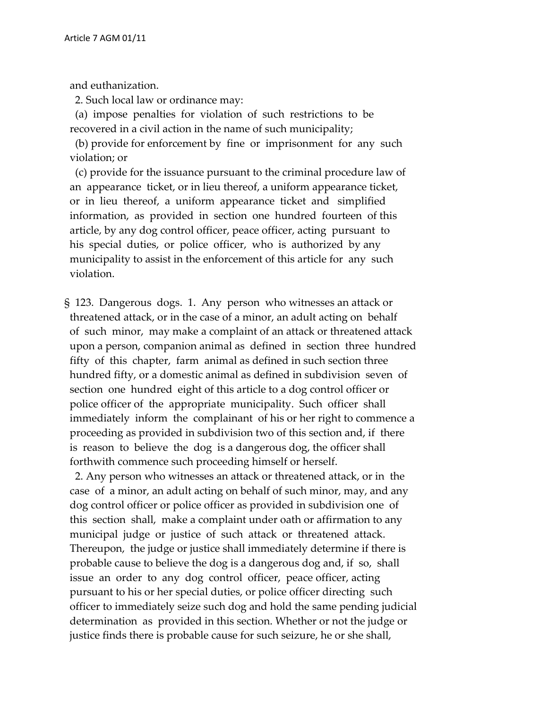and euthanization.

2. Such local law or ordinance may:

 (a) impose penalties for violation of such restrictions to be recovered in a civil action in the name of such municipality; (b) provide for enforcement by fine or imprisonment for any such

violation; or

 (c) provide for the issuance pursuant to the criminal procedure law of an appearance ticket, or in lieu thereof, a uniform appearance ticket, or in lieu thereof, a uniform appearance ticket and simplified information, as provided in section one hundred fourteen of this article, by any dog control officer, peace officer, acting pursuant to his special duties, or police officer, who is authorized by any municipality to assist in the enforcement of this article for any such violation.

§ 123. Dangerous dogs. 1. Any person who witnesses an attack or threatened attack, or in the case of a minor, an adult acting on behalf of such minor, may make a complaint of an attack or threatened attack upon a person, companion animal as defined in section three hundred fifty of this chapter, farm animal as defined in such section three hundred fifty, or a domestic animal as defined in subdivision seven of section one hundred eight of this article to a dog control officer or police officer of the appropriate municipality. Such officer shall immediately inform the complainant of his or her right to commence a proceeding as provided in subdivision two of this section and, if there is reason to believe the dog is a dangerous dog, the officer shall forthwith commence such proceeding himself or herself.

 2. Any person who witnesses an attack or threatened attack, or in the case of a minor, an adult acting on behalf of such minor, may, and any dog control officer or police officer as provided in subdivision one of this section shall, make a complaint under oath or affirmation to any municipal judge or justice of such attack or threatened attack. Thereupon, the judge or justice shall immediately determine if there is probable cause to believe the dog is a dangerous dog and, if so, shall issue an order to any dog control officer, peace officer, acting pursuant to his or her special duties, or police officer directing such officer to immediately seize such dog and hold the same pending judicial determination as provided in this section. Whether or not the judge or justice finds there is probable cause for such seizure, he or she shall,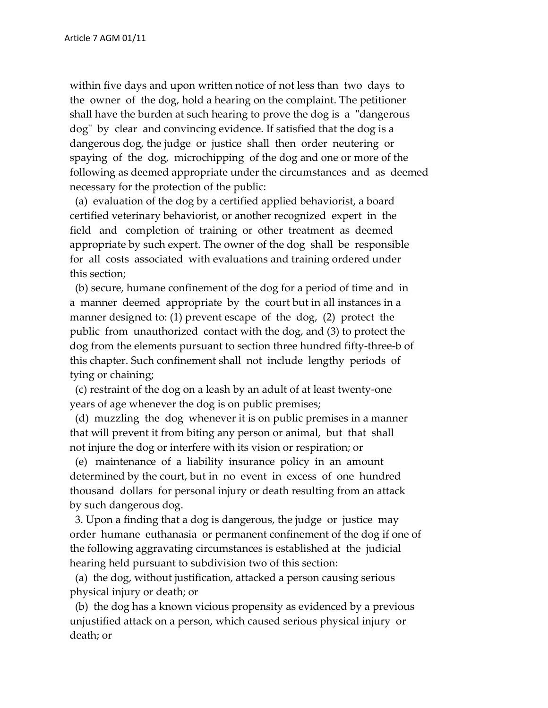within five days and upon written notice of not less than two days to the owner of the dog, hold a hearing on the complaint. The petitioner shall have the burden at such hearing to prove the dog is a "dangerous dog" by clear and convincing evidence. If satisfied that the dog is a dangerous dog, the judge or justice shall then order neutering or spaying of the dog, microchipping of the dog and one or more of the following as deemed appropriate under the circumstances and as deemed necessary for the protection of the public:

 (a) evaluation of the dog by a certified applied behaviorist, a board certified veterinary behaviorist, or another recognized expert in the field and completion of training or other treatment as deemed appropriate by such expert. The owner of the dog shall be responsible for all costs associated with evaluations and training ordered under this section;

 (b) secure, humane confinement of the dog for a period of time and in a manner deemed appropriate by the court but in all instances in a manner designed to: (1) prevent escape of the dog, (2) protect the public from unauthorized contact with the dog, and (3) to protect the dog from the elements pursuant to section three hundred fifty-three-b of this chapter. Such confinement shall not include lengthy periods of tying or chaining;

 (c) restraint of the dog on a leash by an adult of at least twenty-one years of age whenever the dog is on public premises;

 (d) muzzling the dog whenever it is on public premises in a manner that will prevent it from biting any person or animal, but that shall not injure the dog or interfere with its vision or respiration; or

 (e) maintenance of a liability insurance policy in an amount determined by the court, but in no event in excess of one hundred thousand dollars for personal injury or death resulting from an attack by such dangerous dog.

 3. Upon a finding that a dog is dangerous, the judge or justice may order humane euthanasia or permanent confinement of the dog if one of the following aggravating circumstances is established at the judicial hearing held pursuant to subdivision two of this section:

 (a) the dog, without justification, attacked a person causing serious physical injury or death; or

 (b) the dog has a known vicious propensity as evidenced by a previous unjustified attack on a person, which caused serious physical injury or death; or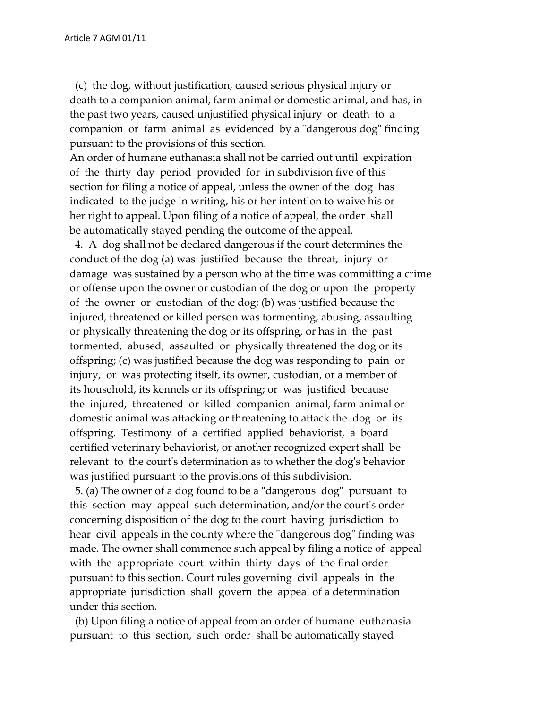(c) the dog, without justification, caused serious physical injury or death to a companion animal, farm animal or domestic animal, and has, in the past two years, caused unjustified physical injury or death to a companion or farm animal as evidenced by a "dangerous dog" finding pursuant to the provisions of this section.

 An order of humane euthanasia shall not be carried out until expiration of the thirty day period provided for in subdivision five of this section for filing a notice of appeal, unless the owner of the dog has indicated to the judge in writing, his or her intention to waive his or her right to appeal. Upon filing of a notice of appeal, the order shall be automatically stayed pending the outcome of the appeal.

 4. A dog shall not be declared dangerous if the court determines the conduct of the dog (a) was justified because the threat, injury or damage was sustained by a person who at the time was committing a crime or offense upon the owner or custodian of the dog or upon the property of the owner or custodian of the dog; (b) was justified because the injured, threatened or killed person was tormenting, abusing, assaulting or physically threatening the dog or its offspring, or has in the past tormented, abused, assaulted or physically threatened the dog or its offspring; (c) was justified because the dog was responding to pain or injury, or was protecting itself, its owner, custodian, or a member of its household, its kennels or its offspring; or was justified because the injured, threatened or killed companion animal, farm animal or domestic animal was attacking or threatening to attack the dog or its offspring. Testimony of a certified applied behaviorist, a board certified veterinary behaviorist, or another recognized expert shall be relevant to the court's determination as to whether the dog's behavior was justified pursuant to the provisions of this subdivision.

 5. (a) The owner of a dog found to be a "dangerous dog" pursuant to this section may appeal such determination, and/or the court's order concerning disposition of the dog to the court having jurisdiction to hear civil appeals in the county where the "dangerous dog" finding was made. The owner shall commence such appeal by filing a notice of appeal with the appropriate court within thirty days of the final order pursuant to this section. Court rules governing civil appeals in the appropriate jurisdiction shall govern the appeal of a determination under this section.

 (b) Upon filing a notice of appeal from an order of humane euthanasia pursuant to this section, such order shall be automatically stayed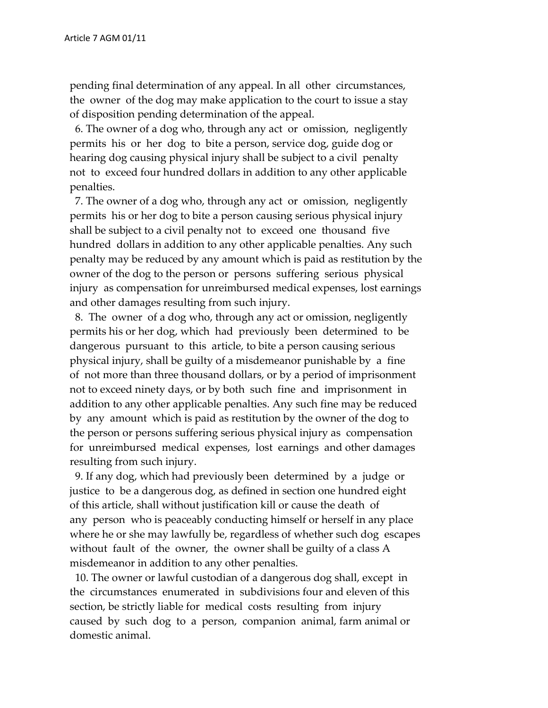pending final determination of any appeal. In all other circumstances, the owner of the dog may make application to the court to issue a stay of disposition pending determination of the appeal.

 6. The owner of a dog who, through any act or omission, negligently permits his or her dog to bite a person, service dog, guide dog or hearing dog causing physical injury shall be subject to a civil penalty not to exceed four hundred dollars in addition to any other applicable penalties.

 7. The owner of a dog who, through any act or omission, negligently permits his or her dog to bite a person causing serious physical injury shall be subject to a civil penalty not to exceed one thousand five hundred dollars in addition to any other applicable penalties. Any such penalty may be reduced by any amount which is paid as restitution by the owner of the dog to the person or persons suffering serious physical injury as compensation for unreimbursed medical expenses, lost earnings and other damages resulting from such injury.

 8. The owner of a dog who, through any act or omission, negligently permits his or her dog, which had previously been determined to be dangerous pursuant to this article, to bite a person causing serious physical injury, shall be guilty of a misdemeanor punishable by a fine of not more than three thousand dollars, or by a period of imprisonment not to exceed ninety days, or by both such fine and imprisonment in addition to any other applicable penalties. Any such fine may be reduced by any amount which is paid as restitution by the owner of the dog to the person or persons suffering serious physical injury as compensation for unreimbursed medical expenses, lost earnings and other damages resulting from such injury.

 9. If any dog, which had previously been determined by a judge or justice to be a dangerous dog, as defined in section one hundred eight of this article, shall without justification kill or cause the death of any person who is peaceably conducting himself or herself in any place where he or she may lawfully be, regardless of whether such dog escapes without fault of the owner, the owner shall be guilty of a class A misdemeanor in addition to any other penalties.

 10. The owner or lawful custodian of a dangerous dog shall, except in the circumstances enumerated in subdivisions four and eleven of this section, be strictly liable for medical costs resulting from injury caused by such dog to a person, companion animal, farm animal or domestic animal.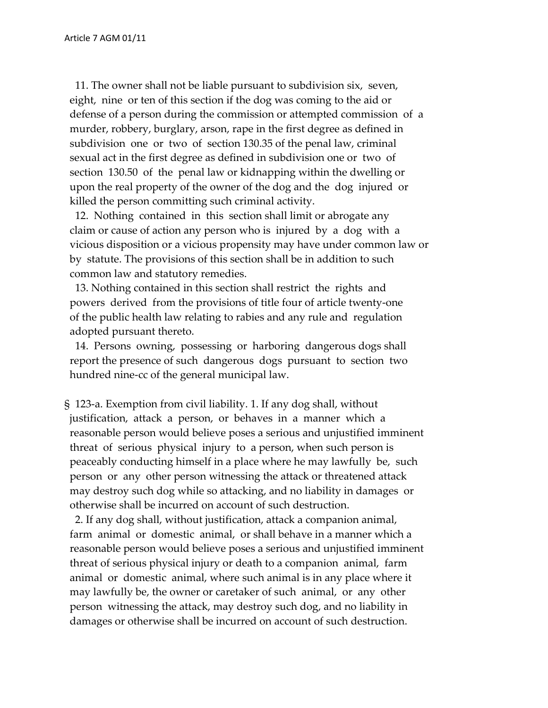11. The owner shall not be liable pursuant to subdivision six, seven, eight, nine or ten of this section if the dog was coming to the aid or defense of a person during the commission or attempted commission of a murder, robbery, burglary, arson, rape in the first degree as defined in subdivision one or two of section 130.35 of the penal law, criminal sexual act in the first degree as defined in subdivision one or two of section 130.50 of the penal law or kidnapping within the dwelling or upon the real property of the owner of the dog and the dog injured or killed the person committing such criminal activity.

 12. Nothing contained in this section shall limit or abrogate any claim or cause of action any person who is injured by a dog with a vicious disposition or a vicious propensity may have under common law or by statute. The provisions of this section shall be in addition to such common law and statutory remedies.

 13. Nothing contained in this section shall restrict the rights and powers derived from the provisions of title four of article twenty-one of the public health law relating to rabies and any rule and regulation adopted pursuant thereto.

 14. Persons owning, possessing or harboring dangerous dogs shall report the presence of such dangerous dogs pursuant to section two hundred nine-cc of the general municipal law.

§ 123-a. Exemption from civil liability. 1. If any dog shall, without justification, attack a person, or behaves in a manner which a reasonable person would believe poses a serious and unjustified imminent threat of serious physical injury to a person, when such person is peaceably conducting himself in a place where he may lawfully be, such person or any other person witnessing the attack or threatened attack may destroy such dog while so attacking, and no liability in damages or otherwise shall be incurred on account of such destruction.

 2. If any dog shall, without justification, attack a companion animal, farm animal or domestic animal, or shall behave in a manner which a reasonable person would believe poses a serious and unjustified imminent threat of serious physical injury or death to a companion animal, farm animal or domestic animal, where such animal is in any place where it may lawfully be, the owner or caretaker of such animal, or any other person witnessing the attack, may destroy such dog, and no liability in damages or otherwise shall be incurred on account of such destruction.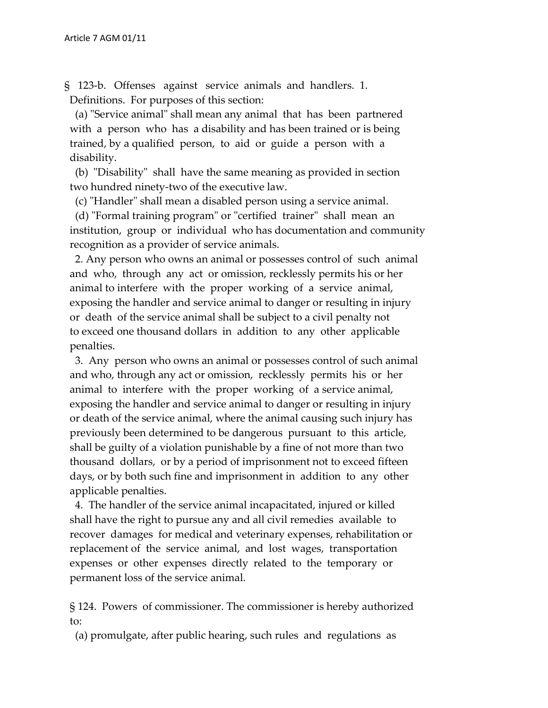§ 123-b. Offenses against service animals and handlers. 1. Definitions. For purposes of this section:

 (a) "Service animal" shall mean any animal that has been partnered with a person who has a disability and has been trained or is being trained, by a qualified person, to aid or guide a person with a disability.

 (b) "Disability" shall have the same meaning as provided in section two hundred ninety-two of the executive law.

(c) "Handler" shall mean a disabled person using a service animal.

 (d) "Formal training program" or "certified trainer" shall mean an institution, group or individual who has documentation and community recognition as a provider of service animals.

 2. Any person who owns an animal or possesses control of such animal and who, through any act or omission, recklessly permits his or her animal to interfere with the proper working of a service animal, exposing the handler and service animal to danger or resulting in injury or death of the service animal shall be subject to a civil penalty not to exceed one thousand dollars in addition to any other applicable penalties.

 3. Any person who owns an animal or possesses control of such animal and who, through any act or omission, recklessly permits his or her animal to interfere with the proper working of a service animal, exposing the handler and service animal to danger or resulting in injury or death of the service animal, where the animal causing such injury has previously been determined to be dangerous pursuant to this article, shall be guilty of a violation punishable by a fine of not more than two thousand dollars, or by a period of imprisonment not to exceed fifteen days, or by both such fine and imprisonment in addition to any other applicable penalties.

 4. The handler of the service animal incapacitated, injured or killed shall have the right to pursue any and all civil remedies available to recover damages for medical and veterinary expenses, rehabilitation or replacement of the service animal, and lost wages, transportation expenses or other expenses directly related to the temporary or permanent loss of the service animal.

 § 124. Powers of commissioner. The commissioner is hereby authorized to:

(a) promulgate, after public hearing, such rules and regulations as